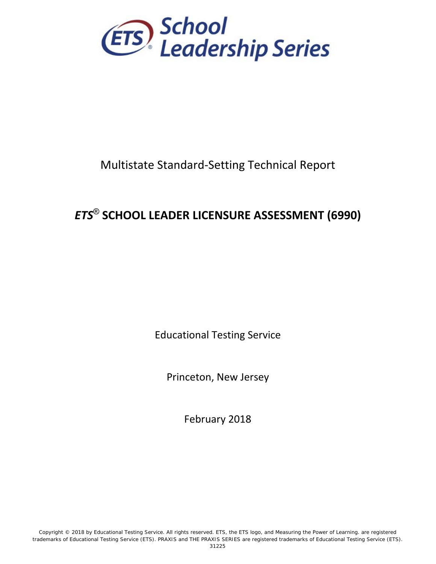

# Multistate Standard‐Setting Technical Report

# *ETS*® **SCHOOL LEADER LICENSURE ASSESSMENT (6990)**

Educational Testing Service

Princeton, New Jersey

February 2018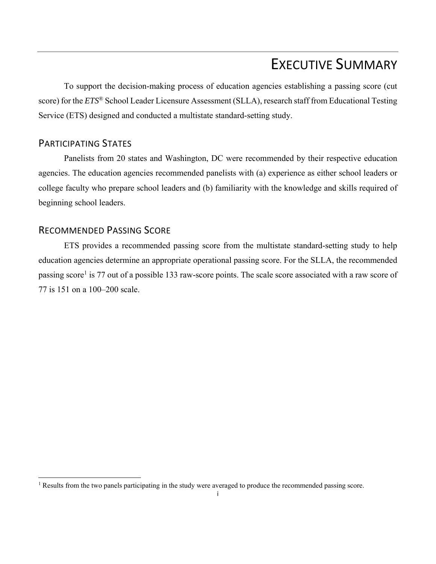# EXECUTIVE SUMMARY

To support the decision-making process of education agencies establishing a passing score (cut score) for the *ETS*® School Leader Licensure Assessment (SLLA), research staff from Educational Testing Service (ETS) designed and conducted a multistate standard-setting study.

## PARTICIPATING STATES

Panelists from 20 states and Washington, DC were recommended by their respective education agencies. The education agencies recommended panelists with (a) experience as either school leaders or college faculty who prepare school leaders and (b) familiarity with the knowledge and skills required of beginning school leaders.

## RECOMMENDED PASSING SCORE

ETS provides a recommended passing score from the multistate standard-setting study to help education agencies determine an appropriate operational passing score. For the SLLA, the recommended passing score<sup>1</sup> is 77 out of a possible 133 raw-score points. The scale score associated with a raw score of 77 is 151 on a 100–200 scale.

<sup>&</sup>lt;sup>1</sup> Results from the two panels participating in the study were averaged to produce the recommended passing score.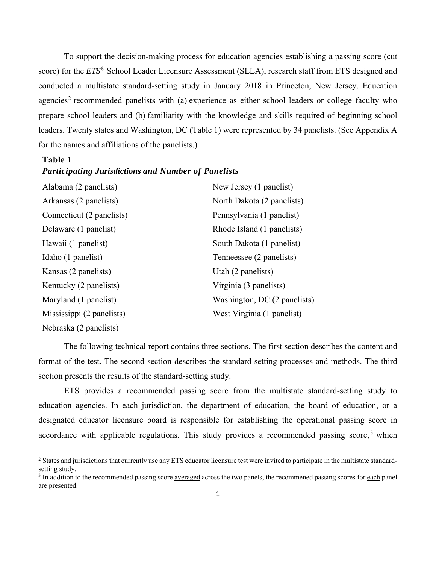To support the decision-making process for education agencies establishing a passing score (cut score) for the *ETS*® School Leader Licensure Assessment (SLLA), research staff from ETS designed and conducted a multistate standard-setting study in January 2018 in Princeton, New Jersey. Education agencies<sup>2</sup> recommended panelists with (a) experience as either school leaders or college faculty who prepare school leaders and (b) familiarity with the knowledge and skills required of beginning school leaders. Twenty states and Washington, DC (Table 1) were represented by 34 panelists. (See Appendix A for the names and affiliations of the panelists.)

#### **Table 1**

| Alabama (2 panelists)     | New Jersey (1 panelist)      |
|---------------------------|------------------------------|
| Arkansas (2 panelists)    | North Dakota (2 panelists)   |
| Connecticut (2 panelists) | Pennsylvania (1 panelist)    |
| Delaware (1 panelist)     | Rhode Island (1 panelists)   |
| Hawaii (1 panelist)       | South Dakota (1 panelist)    |
| Idaho (1 panelist)        | Tenneessee (2 panelists)     |
| Kansas (2 panelists)      | Utah (2 panelists)           |
| Kentucky (2 panelists)    | Virginia (3 panelists)       |
| Maryland (1 panelist)     | Washington, DC (2 panelists) |
| Mississippi (2 panelists) | West Virginia (1 panelist)   |
| Nebraska (2 panelists)    |                              |

### *Participating Jurisdictions and Number of Panelists*

The following technical report contains three sections. The first section describes the content and format of the test. The second section describes the standard-setting processes and methods. The third section presents the results of the standard-setting study.

ETS provides a recommended passing score from the multistate standard-setting study to education agencies. In each jurisdiction, the department of education, the board of education, or a designated educator licensure board is responsible for establishing the operational passing score in accordance with applicable regulations. This study provides a recommended passing score,  $3$  which

<sup>&</sup>lt;sup>2</sup> States and jurisdictions that currently use any ETS educator licensure test were invited to participate in the multistate standardsetting study.

<sup>&</sup>lt;sup>3</sup> In addition to the recommended passing score <u>averaged</u> across the two panels, the recommened passing scores for each panel are presented.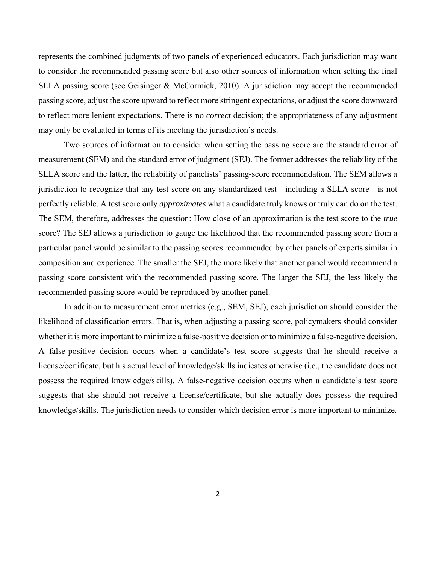represents the combined judgments of two panels of experienced educators. Each jurisdiction may want to consider the recommended passing score but also other sources of information when setting the final SLLA passing score (see Geisinger & McCormick, 2010). A jurisdiction may accept the recommended passing score, adjust the score upward to reflect more stringent expectations, or adjust the score downward to reflect more lenient expectations. There is no *correct* decision; the appropriateness of any adjustment may only be evaluated in terms of its meeting the jurisdiction's needs.

Two sources of information to consider when setting the passing score are the standard error of measurement (SEM) and the standard error of judgment (SEJ). The former addresses the reliability of the SLLA score and the latter, the reliability of panelists' passing-score recommendation. The SEM allows a jurisdiction to recognize that any test score on any standardized test—including a SLLA score—is not perfectly reliable. A test score only *approximates* what a candidate truly knows or truly can do on the test. The SEM, therefore, addresses the question: How close of an approximation is the test score to the *true*  score? The SEJ allows a jurisdiction to gauge the likelihood that the recommended passing score from a particular panel would be similar to the passing scores recommended by other panels of experts similar in composition and experience. The smaller the SEJ, the more likely that another panel would recommend a passing score consistent with the recommended passing score. The larger the SEJ, the less likely the recommended passing score would be reproduced by another panel.

In addition to measurement error metrics (e.g., SEM, SEJ), each jurisdiction should consider the likelihood of classification errors. That is, when adjusting a passing score, policymakers should consider whether it is more important to minimize a false-positive decision or to minimize a false-negative decision. A false-positive decision occurs when a candidate's test score suggests that he should receive a license/certificate, but his actual level of knowledge/skills indicates otherwise (i.e., the candidate does not possess the required knowledge/skills). A false-negative decision occurs when a candidate's test score suggests that she should not receive a license/certificate, but she actually does possess the required knowledge/skills. The jurisdiction needs to consider which decision error is more important to minimize.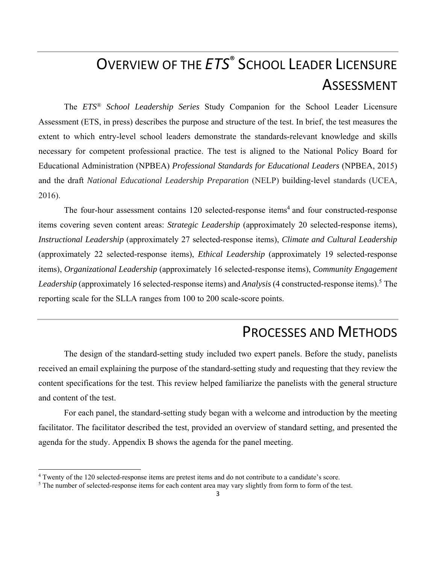# OVERVIEW OF THE *ETS*® SCHOOL LEADER LICENSURE ASSESSMENT

The *ETS® School Leadership Series* Study Companion for the School Leader Licensure Assessment (ETS, in press) describes the purpose and structure of the test. In brief, the test measures the extent to which entry-level school leaders demonstrate the standards-relevant knowledge and skills necessary for competent professional practice. The test is aligned to the National Policy Board for Educational Administration (NPBEA) *Professional Standards for Educational Leaders* (NPBEA, 2015) and the draft *National Educational Leadership Preparation* (NELP) building-level standards (UCEA, 2016).

The four-hour assessment contains  $120$  selected-response items<sup>4</sup> and four constructed-response items covering seven content areas: *Strategic Leadership* (approximately 20 selected-response items), *Instructional Leadership* (approximately 27 selected-response items), *Climate and Cultural Leadership*  (approximately 22 selected-response items), *Ethical Leadership* (approximately 19 selected-response items), *Organizational Leadership* (approximately 16 selected-response items), *Community Engagement*  Leadership (approximately 16 selected-response items) and *Analysis* (4 constructed-response items).<sup>5</sup> The reporting scale for the SLLA ranges from 100 to 200 scale-score points.

# PROCESSES AND METHODS

The design of the standard-setting study included two expert panels. Before the study, panelists received an email explaining the purpose of the standard-setting study and requesting that they review the content specifications for the test. This review helped familiarize the panelists with the general structure and content of the test.

For each panel, the standard-setting study began with a welcome and introduction by the meeting facilitator. The facilitator described the test, provided an overview of standard setting, and presented the agenda for the study. Appendix B shows the agenda for the panel meeting.

<sup>&</sup>lt;sup>4</sup> Twenty of the 120 selected-response items are pretest items and do not contribute to a candidate's score.<br><sup>5</sup> The number of selected-response items for each content area may vary slightly from form to form of the 1

<sup>&</sup>lt;sup>5</sup> The number of selected-response items for each content area may vary slightly from form to form of the test.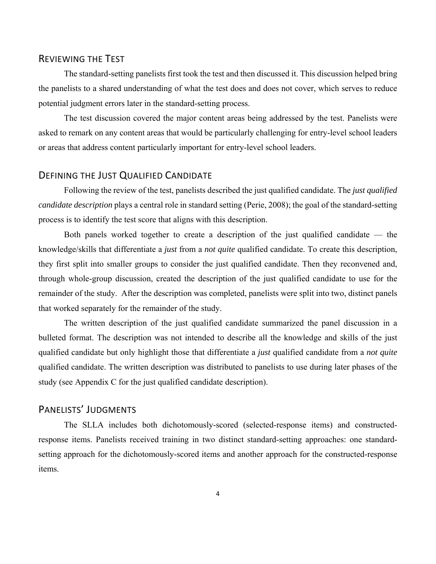## REVIEWING THE TEST

The standard-setting panelists first took the test and then discussed it. This discussion helped bring the panelists to a shared understanding of what the test does and does not cover, which serves to reduce potential judgment errors later in the standard-setting process.

The test discussion covered the major content areas being addressed by the test. Panelists were asked to remark on any content areas that would be particularly challenging for entry-level school leaders or areas that address content particularly important for entry-level school leaders.

## DEFINING THE JUST QUALIFIED CANDIDATE

Following the review of the test, panelists described the just qualified candidate. The *just qualified candidate description* plays a central role in standard setting (Perie, 2008); the goal of the standard-setting process is to identify the test score that aligns with this description.

Both panels worked together to create a description of the just qualified candidate — the knowledge/skills that differentiate a *just* from a *not quite* qualified candidate. To create this description, they first split into smaller groups to consider the just qualified candidate. Then they reconvened and, through whole-group discussion, created the description of the just qualified candidate to use for the remainder of the study. After the description was completed, panelists were split into two, distinct panels that worked separately for the remainder of the study.

The written description of the just qualified candidate summarized the panel discussion in a bulleted format. The description was not intended to describe all the knowledge and skills of the just qualified candidate but only highlight those that differentiate a *just* qualified candidate from a *not quite* qualified candidate. The written description was distributed to panelists to use during later phases of the study (see Appendix C for the just qualified candidate description).

## PANELISTS' JUDGMENTS

The SLLA includes both dichotomously-scored (selected-response items) and constructedresponse items. Panelists received training in two distinct standard-setting approaches: one standardsetting approach for the dichotomously-scored items and another approach for the constructed-response items.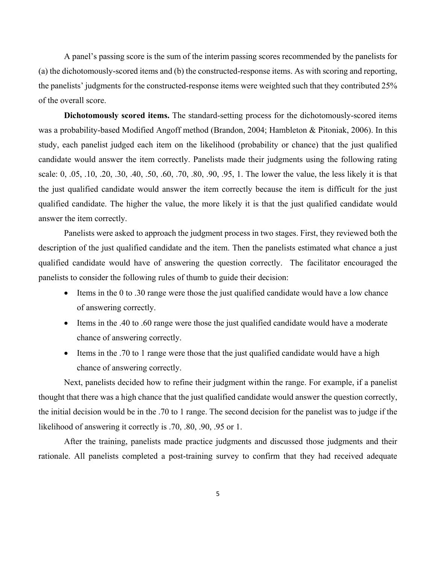A panel's passing score is the sum of the interim passing scores recommended by the panelists for (a) the dichotomously-scored items and (b) the constructed-response items. As with scoring and reporting, the panelists' judgments for the constructed-response items were weighted such that they contributed 25% of the overall score.

**Dichotomously scored items.** The standard-setting process for the dichotomously-scored items was a probability-based Modified Angoff method (Brandon, 2004; Hambleton & Pitoniak, 2006). In this study, each panelist judged each item on the likelihood (probability or chance) that the just qualified candidate would answer the item correctly. Panelists made their judgments using the following rating scale: 0, .05, .10, .20, .30, .40, .50, .60, .70, .80, .90, .95, 1. The lower the value, the less likely it is that the just qualified candidate would answer the item correctly because the item is difficult for the just qualified candidate. The higher the value, the more likely it is that the just qualified candidate would answer the item correctly.

Panelists were asked to approach the judgment process in two stages. First, they reviewed both the description of the just qualified candidate and the item. Then the panelists estimated what chance a just qualified candidate would have of answering the question correctly. The facilitator encouraged the panelists to consider the following rules of thumb to guide their decision:

- Items in the 0 to .30 range were those the just qualified candidate would have a low chance of answering correctly.
- Items in the .40 to .60 range were those the just qualified candidate would have a moderate chance of answering correctly.
- Items in the .70 to 1 range were those that the just qualified candidate would have a high chance of answering correctly.

Next, panelists decided how to refine their judgment within the range. For example, if a panelist thought that there was a high chance that the just qualified candidate would answer the question correctly, the initial decision would be in the .70 to 1 range. The second decision for the panelist was to judge if the likelihood of answering it correctly is .70, .80, .90, .95 or 1.

After the training, panelists made practice judgments and discussed those judgments and their rationale. All panelists completed a post-training survey to confirm that they had received adequate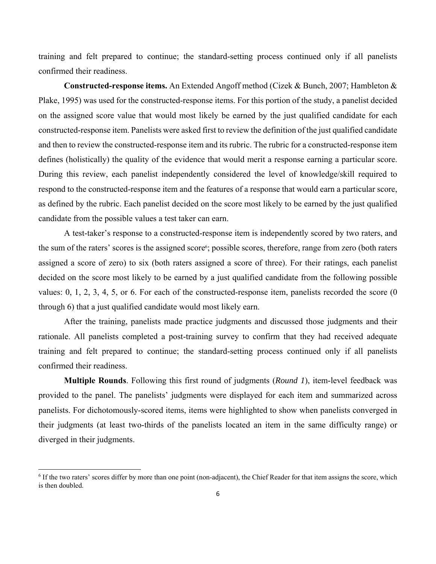training and felt prepared to continue; the standard-setting process continued only if all panelists confirmed their readiness.

**Constructed-response items.** An Extended Angoff method (Cizek & Bunch, 2007; Hambleton & Plake, 1995) was used for the constructed-response items. For this portion of the study, a panelist decided on the assigned score value that would most likely be earned by the just qualified candidate for each constructed-response item. Panelists were asked first to review the definition of the just qualified candidate and then to review the constructed-response item and its rubric. The rubric for a constructed-response item defines (holistically) the quality of the evidence that would merit a response earning a particular score. During this review, each panelist independently considered the level of knowledge/skill required to respond to the constructed-response item and the features of a response that would earn a particular score, as defined by the rubric. Each panelist decided on the score most likely to be earned by the just qualified candidate from the possible values a test taker can earn.

A test-taker's response to a constructed-response item is independently scored by two raters, and the sum of the raters' scores is the assigned score<sup>6</sup>; possible scores, therefore, range from zero (both raters assigned a score of zero) to six (both raters assigned a score of three). For their ratings, each panelist decided on the score most likely to be earned by a just qualified candidate from the following possible values: 0, 1, 2, 3, 4, 5, or 6. For each of the constructed-response item, panelists recorded the score (0 through 6) that a just qualified candidate would most likely earn.

After the training, panelists made practice judgments and discussed those judgments and their rationale. All panelists completed a post-training survey to confirm that they had received adequate training and felt prepared to continue; the standard-setting process continued only if all panelists confirmed their readiness.

**Multiple Rounds**. Following this first round of judgments (*Round 1*), item-level feedback was provided to the panel. The panelists' judgments were displayed for each item and summarized across panelists. For dichotomously-scored items, items were highlighted to show when panelists converged in their judgments (at least two-thirds of the panelists located an item in the same difficulty range) or diverged in their judgments.

<sup>&</sup>lt;sup>6</sup> If the two raters' scores differ by more than one point (non-adjacent), the Chief Reader for that item assigns the score, which is then doubled.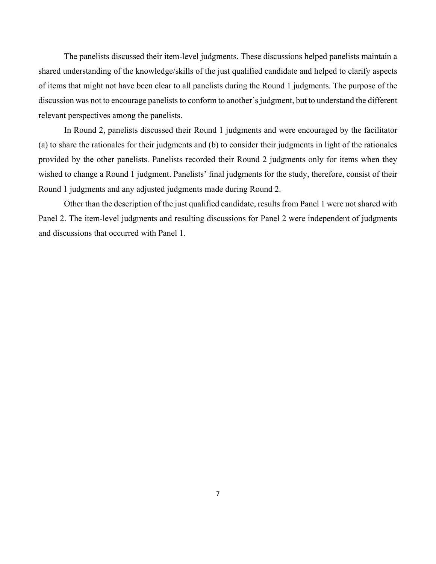The panelists discussed their item-level judgments. These discussions helped panelists maintain a shared understanding of the knowledge/skills of the just qualified candidate and helped to clarify aspects of items that might not have been clear to all panelists during the Round 1 judgments. The purpose of the discussion was not to encourage panelists to conform to another's judgment, but to understand the different relevant perspectives among the panelists.

In Round 2, panelists discussed their Round 1 judgments and were encouraged by the facilitator (a) to share the rationales for their judgments and (b) to consider their judgments in light of the rationales provided by the other panelists. Panelists recorded their Round 2 judgments only for items when they wished to change a Round 1 judgment. Panelists' final judgments for the study, therefore, consist of their Round 1 judgments and any adjusted judgments made during Round 2.

Other than the description of the just qualified candidate, results from Panel 1 were not shared with Panel 2. The item-level judgments and resulting discussions for Panel 2 were independent of judgments and discussions that occurred with Panel 1.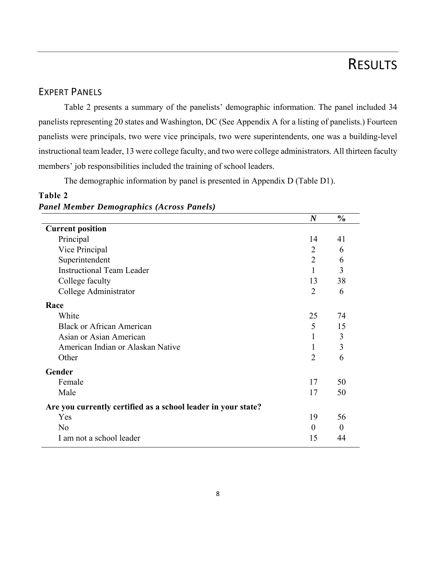# RESULTS

## EXPERT PANELS

Table 2 presents a summary of the panelists' demographic information. The panel included 34 panelists representing 20 states and Washington, DC (See Appendix A for a listing of panelists.) Fourteen panelists were principals, two were vice principals, two were superintendents, one was a building-level instructional team leader, 13 were college faculty, and two were college administrators. All thirteen faculty members' job responsibilities included the training of school leaders.

The demographic information by panel is presented in Appendix D (Table D1).

## **Table 2**  *Panel Member Demographics (Across Panels)*

|                                                               | $\boldsymbol{N}$ | $\frac{0}{0}$ |
|---------------------------------------------------------------|------------------|---------------|
| <b>Current position</b>                                       |                  |               |
| Principal                                                     | 14               | 41            |
| Vice Principal                                                | $\overline{2}$   | 6             |
| Superintendent                                                | $\overline{2}$   | 6             |
| <b>Instructional Team Leader</b>                              | 1                | 3             |
| College faculty                                               | 13               | 38            |
| College Administrator                                         | $\overline{2}$   | 6             |
| Race                                                          |                  |               |
| White                                                         | 25               | 74            |
| <b>Black or African American</b>                              | 5                | 15            |
| Asian or Asian American                                       | 1                | 3             |
| American Indian or Alaskan Native                             | 1                | 3             |
| Other                                                         | $\overline{2}$   | 6             |
| Gender                                                        |                  |               |
| Female                                                        | 17               | 50            |
| Male                                                          | 17               | 50            |
| Are you currently certified as a school leader in your state? |                  |               |
| Yes                                                           | 19               | 56            |
| No                                                            | $\theta$         | $\Omega$      |
| I am not a school leader                                      | 15               | 44            |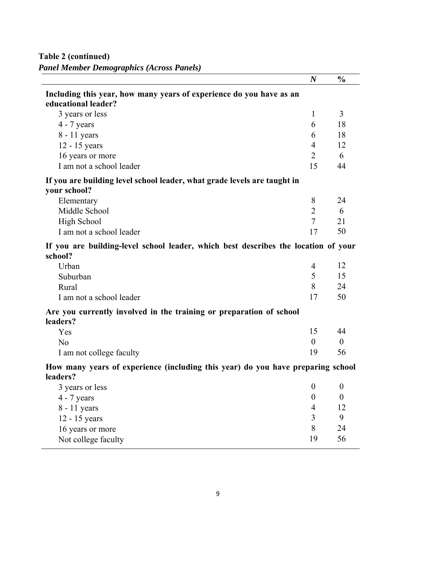**Table 2 (continued)**  *Panel Member Demographics (Across Panels)* 

|                                                                                               | $\boldsymbol{N}$ | $\frac{0}{0}$    |
|-----------------------------------------------------------------------------------------------|------------------|------------------|
| Including this year, how many years of experience do you have as an<br>educational leader?    |                  |                  |
| 3 years or less                                                                               | 1                | 3                |
| $4 - 7$ years                                                                                 | 6                | 18               |
| 8 - 11 years                                                                                  | 6                | 18               |
| 12 - 15 years                                                                                 | $\overline{4}$   | 12               |
| 16 years or more                                                                              | $\overline{2}$   | 6                |
| I am not a school leader                                                                      | 15               | 44               |
| If you are building level school leader, what grade levels are taught in<br>your school?      |                  |                  |
| Elementary                                                                                    | 8                | 24               |
| Middle School                                                                                 | $\overline{2}$   | 6                |
| <b>High School</b>                                                                            | $\overline{7}$   | 21               |
| I am not a school leader                                                                      | 17               | 50               |
| If you are building-level school leader, which best describes the location of your<br>school? |                  |                  |
| Urban                                                                                         | $\overline{4}$   | 12               |
| Suburban                                                                                      | 5                | 15               |
| Rural                                                                                         | 8                | 24               |
| I am not a school leader                                                                      | 17               | 50               |
| Are you currently involved in the training or preparation of school<br>leaders?               |                  |                  |
| Yes                                                                                           | 15               | 44               |
| N <sub>o</sub>                                                                                | $\boldsymbol{0}$ | $\boldsymbol{0}$ |
| I am not college faculty                                                                      | 19               | 56               |
| How many years of experience (including this year) do you have preparing school<br>leaders?   |                  |                  |
| 3 years or less                                                                               | $\boldsymbol{0}$ | $\boldsymbol{0}$ |
| $4 - 7$ years                                                                                 | $\overline{0}$   | $\theta$         |
| 8 - 11 years                                                                                  | 4                | 12               |
| 12 - 15 years                                                                                 | 3                | 9                |
| 16 years or more                                                                              | 8                | 24               |
| Not college faculty                                                                           | 19               | 56               |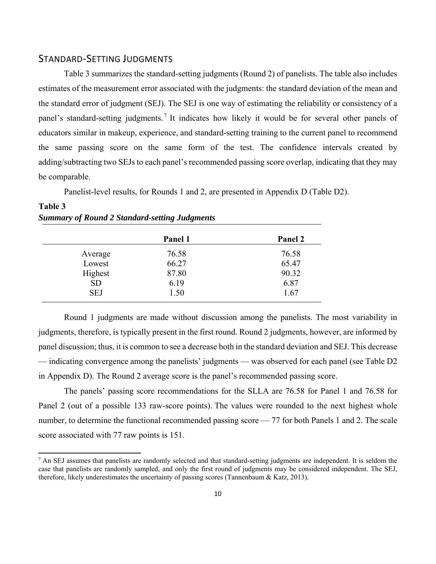## STANDARD‐SETTING JUDGMENTS

Table 3 summarizes the standard-setting judgments (Round 2) of panelists. The table also includes estimates of the measurement error associated with the judgments: the standard deviation of the mean and the standard error of judgment (SEJ). The SEJ is one way of estimating the reliability or consistency of a panel's standard-setting judgments.<sup>7</sup> It indicates how likely it would be for several other panels of educators similar in makeup, experience, and standard-setting training to the current panel to recommend the same passing score on the same form of the test. The confidence intervals created by adding/subtracting two SEJs to each panel's recommended passing score overlap, indicating that they may be comparable.

Panelist-level results, for Rounds 1 and 2, are presented in Appendix D (Table D2).

### **Table 3**  *Summary of Round 2 Standard-setting Judgments*

|            | Panel 1 | Panel 2 |
|------------|---------|---------|
| Average    | 76.58   | 76.58   |
| Lowest     | 66.27   | 65.47   |
| Highest    | 87.80   | 90.32   |
| <b>SD</b>  | 6.19    | 6.87    |
| <b>SEJ</b> | 1.50    | 1.67    |

Round 1 judgments are made without discussion among the panelists. The most variability in judgments, therefore, is typically present in the first round. Round 2 judgments, however, are informed by panel discussion; thus, it is common to see a decrease both in the standard deviation and SEJ. This decrease — indicating convergence among the panelists' judgments — was observed for each panel (see Table D2 in Appendix D). The Round 2 average score is the panel's recommended passing score.

The panels' passing score recommendations for the SLLA are 76.58 for Panel 1 and 76.58 for Panel 2 (out of a possible 133 raw-score points). The values were rounded to the next highest whole number, to determine the functional recommended passing score — 77 for both Panels 1 and 2. The scale score associated with 77 raw points is 151.

 $<sup>7</sup>$  An SEJ assumes that panelists are randomly selected and that standard-setting judgments are independent. It is seldom the</sup> case that panelists are randomly sampled, and only the first round of judgments may be considered independent. The SEJ, therefore, likely underestimates the uncertainty of passing scores (Tannenbaum & Katz, 2013).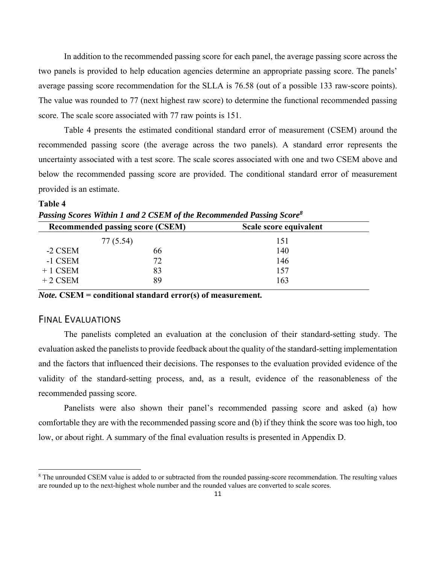In addition to the recommended passing score for each panel, the average passing score across the two panels is provided to help education agencies determine an appropriate passing score. The panels' average passing score recommendation for the SLLA is 76.58 (out of a possible 133 raw-score points). The value was rounded to 77 (next highest raw score) to determine the functional recommended passing score. The scale score associated with 77 raw points is 151.

Table 4 presents the estimated conditional standard error of measurement (CSEM) around the recommended passing score (the average across the two panels). A standard error represents the uncertainty associated with a test score. The scale scores associated with one and two CSEM above and below the recommended passing score are provided. The conditional standard error of measurement provided is an estimate.

|           | Passing Scores Within 1 and 2 CSEM of the Recommended Passing Score <sup>8</sup> |                        |  |  |  |  |  |
|-----------|----------------------------------------------------------------------------------|------------------------|--|--|--|--|--|
|           | <b>Recommended passing score (CSEM)</b>                                          | Scale score equivalent |  |  |  |  |  |
|           | 77 (5.54)                                                                        | 151                    |  |  |  |  |  |
| -2 CSEM   | 66                                                                               | 140                    |  |  |  |  |  |
| -1 CSEM   | 72                                                                               | 146                    |  |  |  |  |  |
| $+1$ CSEM | 83                                                                               | 157                    |  |  |  |  |  |
| $+2$ CSEM | 89                                                                               | 163                    |  |  |  |  |  |
|           |                                                                                  |                        |  |  |  |  |  |

| Passing Scores Within 1 and 2 CSEM of the Recommended Passing Score <sup>8</sup> | --------- |  |
|----------------------------------------------------------------------------------|-----------|--|
|                                                                                  |           |  |

*Note.* **CSEM = conditional standard error(s) of measurement***.* 

### FINAL EVALUATIONS

**Table 4** 

The panelists completed an evaluation at the conclusion of their standard-setting study. The evaluation asked the panelists to provide feedback about the quality of the standard-setting implementation and the factors that influenced their decisions. The responses to the evaluation provided evidence of the validity of the standard-setting process, and, as a result, evidence of the reasonableness of the recommended passing score.

Panelists were also shown their panel's recommended passing score and asked (a) how comfortable they are with the recommended passing score and (b) if they think the score was too high, too low, or about right. A summary of the final evaluation results is presented in Appendix D.

<sup>&</sup>lt;sup>8</sup> The unrounded CSEM value is added to or subtracted from the rounded passing-score recommendation. The resulting values are rounded up to the next-highest whole number and the rounded values are converted to scale scores.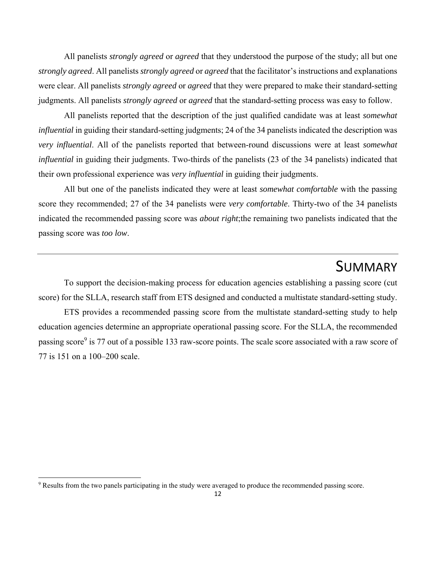All panelists *strongly agreed* or *agreed* that they understood the purpose of the study; all but one *strongly agreed*. All panelists *strongly agreed* or *agreed* that the facilitator's instructions and explanations were clear. All panelists *strongly agreed* or *agreed* that they were prepared to make their standard-setting judgments. All panelists *strongly agreed* or *agreed* that the standard-setting process was easy to follow.

All panelists reported that the description of the just qualified candidate was at least *somewhat influential* in guiding their standard-setting judgments; 24 of the 34 panelists indicated the description was *very influential*. All of the panelists reported that between-round discussions were at least *somewhat influential* in guiding their judgments. Two-thirds of the panelists (23 of the 34 panelists) indicated that their own professional experience was *very influential* in guiding their judgments.

All but one of the panelists indicated they were at least *somewhat comfortable* with the passing score they recommended; 27 of the 34 panelists were *very comfortable*. Thirty-two of the 34 panelists indicated the recommended passing score was *about right*;the remaining two panelists indicated that the passing score was *too low*.

# SUMMARY

To support the decision-making process for education agencies establishing a passing score (cut score) for the SLLA, research staff from ETS designed and conducted a multistate standard-setting study.

ETS provides a recommended passing score from the multistate standard-setting study to help education agencies determine an appropriate operational passing score. For the SLLA, the recommended passing score<sup>9</sup> is 77 out of a possible 133 raw-score points. The scale score associated with a raw score of 77 is 151 on a 100–200 scale.

<sup>&</sup>lt;sup>9</sup> Results from the two panels participating in the study were averaged to produce the recommended passing score.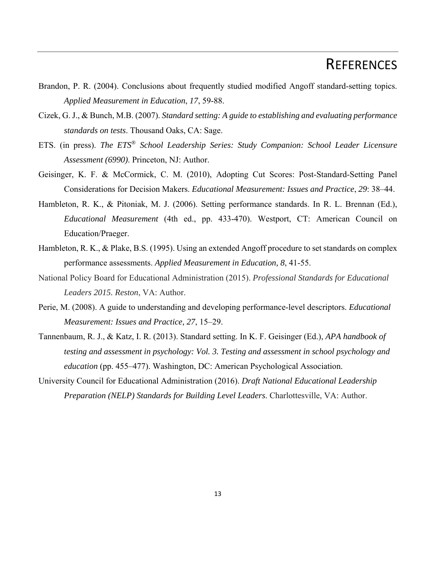# **REFERENCES**

- Brandon, P. R. (2004). Conclusions about frequently studied modified Angoff standard-setting topics. *Applied Measurement in Education*, *17*, 59-88.
- Cizek, G. J., & Bunch, M.B. (2007). *Standard setting: A guide to establishing and evaluating performance standards on tests*. Thousand Oaks, CA: Sage.
- ETS. (in press). *The ETS*® *School Leadership Series: Study Companion: School Leader Licensure Assessment (6990)*. Princeton, NJ: Author.
- Geisinger, K. F. & McCormick, C. M. (2010), Adopting Cut Scores: Post-Standard-Setting Panel Considerations for Decision Makers. *Educational Measurement: Issues and Practice*, *29*: 38–44.
- Hambleton, R. K., & Pitoniak, M. J. (2006). Setting performance standards. In R. L. Brennan (Ed.), *Educational Measurement* (4th ed., pp. 433-470). Westport, CT: American Council on Education/Praeger.
- Hambleton, R. K., & Plake, B.S. (1995). Using an extended Angoff procedure to set standards on complex performance assessments. *Applied Measurement in Education, 8*, 41-55.
- National Policy Board for Educational Administration (2015). *Professional Standards for Educational Leaders 2015. Reston*, VA: Author.
- Perie, M. (2008). A guide to understanding and developing performance-level descriptors. *Educational Measurement: Issues and Practice, 27*, 15–29.
- Tannenbaum, R. J., & Katz, I. R. (2013). Standard setting. In K. F. Geisinger (Ed.), *APA handbook of testing and assessment in psychology: Vol. 3. Testing and assessment in school psychology and education* (pp. 455–477). Washington, DC: American Psychological Association.
- University Council for Educational Administration (2016). *Draft National Educational Leadership Preparation (NELP) Standards for Building Level Leaders*. Charlottesville, VA: Author.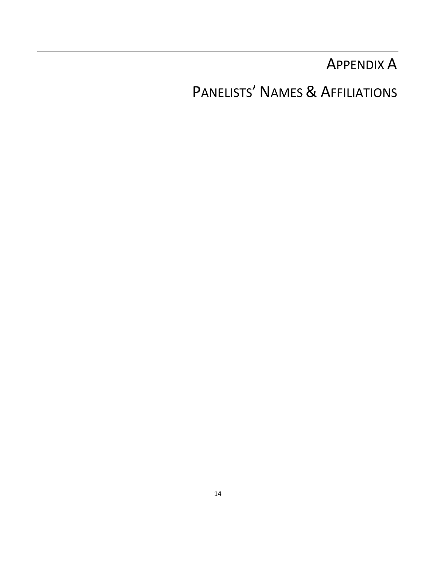# APPENDIX A

# PANELISTS' NAMES & AFFILIATIONS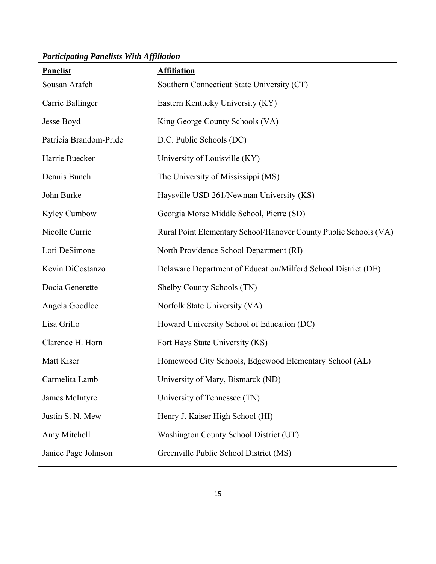Panelist **Affiliation** Sousan Arafeh Southern Connecticut State University (CT) Carrie Ballinger Eastern Kentucky University (KY) Jesse Boyd King George County Schools (VA) Patricia Brandom-Pride D.C. Public Schools (DC) Harrie Buecker University of Louisville (KY) Dennis Bunch The University of Mississippi (MS) John Burke Haysville USD 261/Newman University (KS) Kyley Cumbow Georgia Morse Middle School, Pierre (SD) Nicolle Currie Rural Point Elementary School/Hanover County Public Schools (VA) Lori DeSimone North Providence School Department (RI) Kevin DiCostanzo Delaware Department of Education/Milford School District (DE) Docia Generette Shelby County Schools (TN) Angela Goodloe Norfolk State University (VA) Lisa Grillo Howard University School of Education (DC) Clarence H. Horn Fort Hays State University (KS) Matt Kiser **Homewood City Schools, Edgewood Elementary School (AL)** Carmelita Lamb University of Mary, Bismarck (ND) James McIntyre University of Tennessee (TN) Justin S. N. Mew Henry J. Kaiser High School (HI) Amy Mitchell Washington County School District (UT) Janice Page Johnson Greenville Public School District (MS)

#### *Participating Panelists With Affiliation*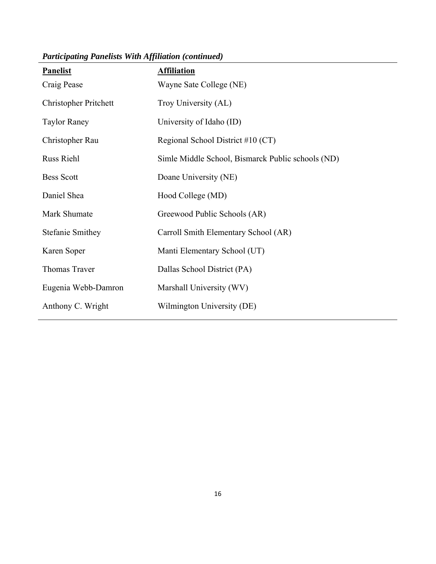| <b>Panelist</b>              | <b>Affiliation</b>                                |
|------------------------------|---------------------------------------------------|
| Craig Pease                  | Wayne Sate College (NE)                           |
| <b>Christopher Pritchett</b> | Troy University (AL)                              |
| <b>Taylor Raney</b>          | University of Idaho (ID)                          |
| Christopher Rau              | Regional School District #10 (CT)                 |
| <b>Russ Riehl</b>            | Simle Middle School, Bismarck Public schools (ND) |
| <b>Bess Scott</b>            | Doane University (NE)                             |
| Daniel Shea                  | Hood College (MD)                                 |
| Mark Shumate                 | Greewood Public Schools (AR)                      |
| <b>Stefanie Smithey</b>      | Carroll Smith Elementary School (AR)              |
| Karen Soper                  | Manti Elementary School (UT)                      |
| Thomas Traver                | Dallas School District (PA)                       |
| Eugenia Webb-Damron          | Marshall University (WV)                          |
| Anthony C. Wright            | Wilmington University (DE)                        |

*Participating Panelists With Affiliation (continued)*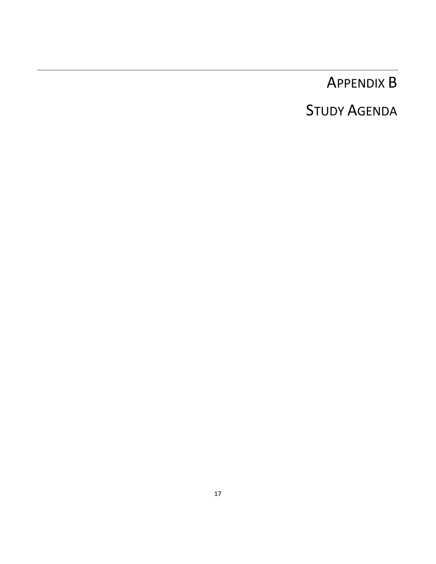# APPENDIX B

# STUDY AGENDA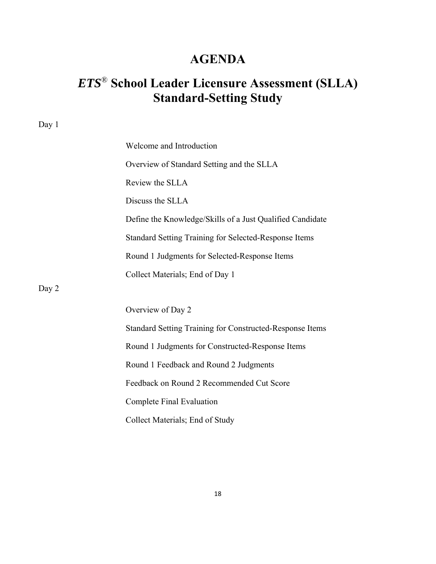# **AGENDA**

# *ETS*® **School Leader Licensure Assessment (SLLA) Standard-Setting Study**

| Day 1 |                                                           |
|-------|-----------------------------------------------------------|
|       | Welcome and Introduction                                  |
|       | Overview of Standard Setting and the SLLA                 |
|       | Review the SLLA                                           |
|       | Discuss the SLLA                                          |
|       | Define the Knowledge/Skills of a Just Qualified Candidate |
|       | Standard Setting Training for Selected-Response Items     |
|       | Round 1 Judgments for Selected-Response Items             |
|       | Collect Materials; End of Day 1                           |
| Day 2 |                                                           |
|       | Overview of Day 2                                         |
|       | Standard Setting Training for Constructed-Response Items  |
|       | Round 1 Judgments for Constructed-Response Items          |
|       | Round 1 Feedback and Round 2 Judgments                    |
|       | Feedback on Round 2 Recommended Cut Score                 |
|       | Complete Final Evaluation                                 |
|       | Collect Materials; End of Study                           |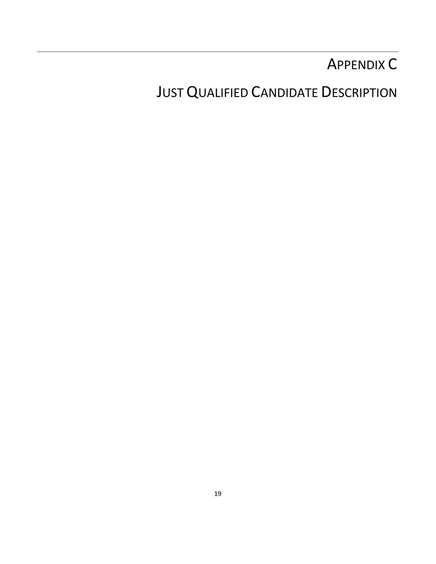# APPENDIX C

**JUST QUALIFIED CANDIDATE DESCRIPTION**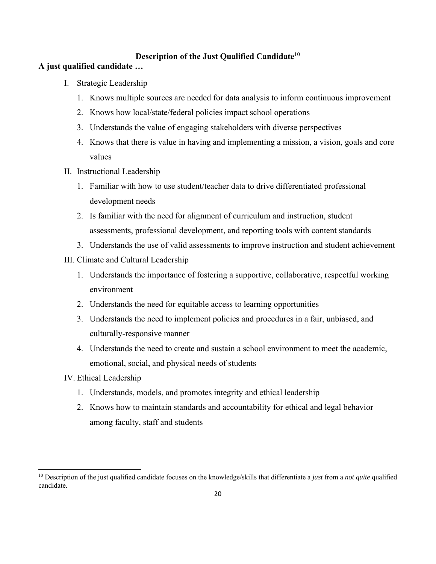### **Description of the Just Qualified Candidate10**

### **A just qualified candidate …**

- I. Strategic Leadership
	- 1. Knows multiple sources are needed for data analysis to inform continuous improvement
	- 2. Knows how local/state/federal policies impact school operations
	- 3. Understands the value of engaging stakeholders with diverse perspectives
	- 4. Knows that there is value in having and implementing a mission, a vision, goals and core values
- II. Instructional Leadership
	- 1. Familiar with how to use student/teacher data to drive differentiated professional development needs
	- 2. Is familiar with the need for alignment of curriculum and instruction, student assessments, professional development, and reporting tools with content standards
	- 3. Understands the use of valid assessments to improve instruction and student achievement

### III. Climate and Cultural Leadership

- 1. Understands the importance of fostering a supportive, collaborative, respectful working environment
- 2. Understands the need for equitable access to learning opportunities
- 3. Understands the need to implement policies and procedures in a fair, unbiased, and culturally-responsive manner
- 4. Understands the need to create and sustain a school environment to meet the academic, emotional, social, and physical needs of students
- IV. Ethical Leadership

- 1. Understands, models, and promotes integrity and ethical leadership
- 2. Knows how to maintain standards and accountability for ethical and legal behavior among faculty, staff and students

<sup>10</sup> Description of the just qualified candidate focuses on the knowledge/skills that differentiate a *just* from a *not quite* qualified candidate.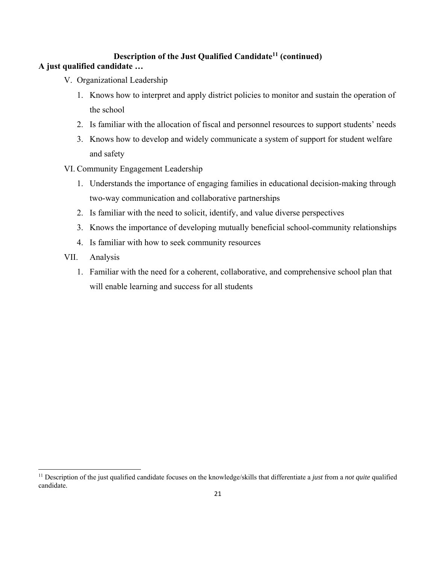### **Description of the Just Qualified Candidate11 (continued)**

### **A just qualified candidate …**

- V. Organizational Leadership
	- 1. Knows how to interpret and apply district policies to monitor and sustain the operation of the school
	- 2. Is familiar with the allocation of fiscal and personnel resources to support students' needs
	- 3. Knows how to develop and widely communicate a system of support for student welfare and safety
- VI. Community Engagement Leadership
	- 1. Understands the importance of engaging families in educational decision-making through two-way communication and collaborative partnerships
	- 2. Is familiar with the need to solicit, identify, and value diverse perspectives
	- 3. Knows the importance of developing mutually beneficial school-community relationships
	- 4. Is familiar with how to seek community resources
- VII. Analysis

1. Familiar with the need for a coherent, collaborative, and comprehensive school plan that will enable learning and success for all students

<sup>&</sup>lt;sup>11</sup> Description of the just qualified candidate focuses on the knowledge/skills that differentiate a *just* from a *not quite* qualified candidate.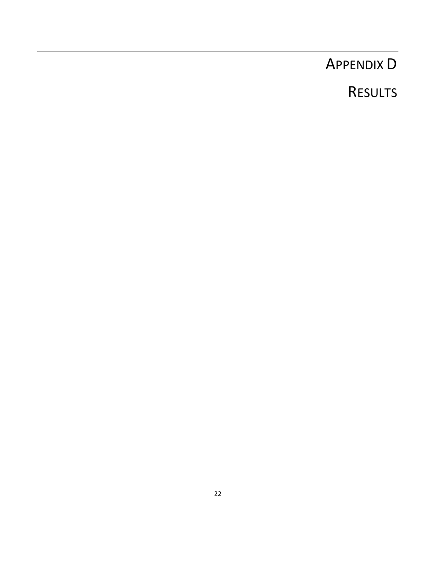# APPENDIX D

# RESULTS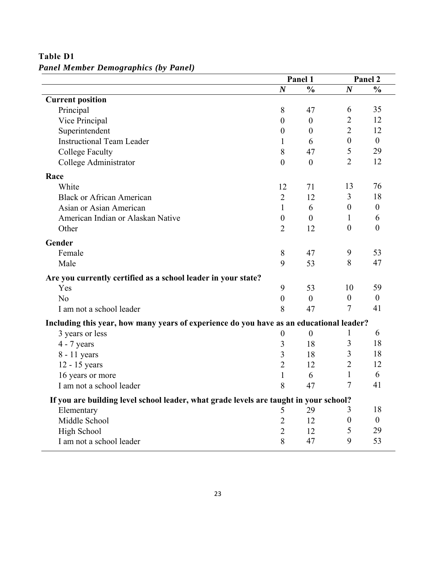|                                                                                         | Panel 1          |                | Panel 2          |                  |
|-----------------------------------------------------------------------------------------|------------------|----------------|------------------|------------------|
|                                                                                         | $\boldsymbol{N}$ | $\frac{0}{0}$  | $\boldsymbol{N}$ | $\frac{0}{0}$    |
| <b>Current position</b>                                                                 |                  |                |                  |                  |
| Principal                                                                               | 8                | 47             | 6                | 35               |
| Vice Principal                                                                          | $\boldsymbol{0}$ | $\overline{0}$ | $\overline{2}$   | 12               |
| Superintendent                                                                          | $\boldsymbol{0}$ | $\theta$       | $\overline{2}$   | 12               |
| <b>Instructional Team Leader</b>                                                        | 1                | 6              | $\boldsymbol{0}$ | $\overline{0}$   |
| <b>College Faculty</b>                                                                  | 8                | 47             | 5                | 29               |
| College Administrator                                                                   | $\overline{0}$   | $\mathbf{0}$   | $\overline{2}$   | 12               |
| Race                                                                                    |                  |                |                  |                  |
| White                                                                                   | 12               | 71             | 13               | 76               |
| <b>Black or African American</b>                                                        | $\overline{2}$   | 12             | 3                | 18               |
| Asian or Asian American                                                                 | $\mathbf{1}$     | 6              | $\boldsymbol{0}$ | $\boldsymbol{0}$ |
| American Indian or Alaskan Native                                                       | $\boldsymbol{0}$ | $\overline{0}$ | $\mathbf{1}$     | 6                |
| Other                                                                                   | $\overline{2}$   | 12             | $\theta$         | $\theta$         |
| Gender                                                                                  |                  |                |                  |                  |
| Female                                                                                  | 8                | 47             | 9                | 53               |
| Male                                                                                    | 9                | 53             | 8                | 47               |
| Are you currently certified as a school leader in your state?                           |                  |                |                  |                  |
| Yes                                                                                     | 9                | 53             | 10               | 59               |
| N <sub>o</sub>                                                                          | $\boldsymbol{0}$ | $\overline{0}$ | $\boldsymbol{0}$ | $\boldsymbol{0}$ |
| I am not a school leader                                                                | 8                | 47             | 7                | 41               |
| Including this year, how many years of experience do you have as an educational leader? |                  |                |                  |                  |
| 3 years or less                                                                         | $\boldsymbol{0}$ | $\overline{0}$ |                  | 6                |
| $4 - 7$ years                                                                           | 3                | 18             | 3                | 18               |
| 8 - 11 years                                                                            | 3                | 18             | 3                | 18               |
| 12 - 15 years                                                                           | $\overline{2}$   | 12             | $\overline{2}$   | 12               |
| 16 years or more                                                                        | $\mathbf{1}$     | 6              | 1                | 6                |
| I am not a school leader                                                                | 8                | 47             | 7                | 41               |
| If you are building level school leader, what grade levels are taught in your school?   |                  |                |                  |                  |
| Elementary                                                                              | 5                | 29             | 3                | 18               |
| Middle School                                                                           | $\overline{2}$   | 12             | $\boldsymbol{0}$ | $\overline{0}$   |
| High School                                                                             | $\overline{2}$   | 12             | 5                | 29               |
| I am not a school leader                                                                | 8                | 47             | 9                | 53               |

**Table D1**  *Panel Member Demographics (by Panel)*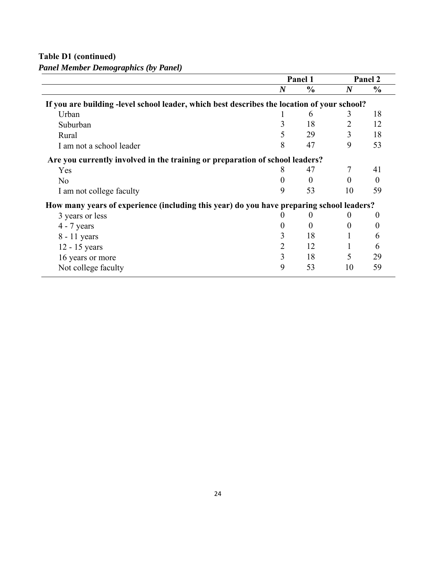**Table D1 (continued)** 

*Panel Member Demographics (by Panel)* 

|                                                                                             |                | Panel 1       |                  | Panel 2       |
|---------------------------------------------------------------------------------------------|----------------|---------------|------------------|---------------|
|                                                                                             | $\bm{N}$       | $\frac{0}{0}$ | $\boldsymbol{N}$ | $\frac{0}{0}$ |
| If you are building -level school leader, which best describes the location of your school? |                |               |                  |               |
| Urban                                                                                       |                | 6             | 3                | 18            |
| Suburban                                                                                    | 3              | 18            | 2                | 12            |
| Rural                                                                                       | 5              | 29            | 3                | 18            |
| I am not a school leader                                                                    | 8              | 47            | 9                | 53            |
| Are you currently involved in the training or preparation of school leaders?                |                |               |                  |               |
| Yes                                                                                         | 8              | 47            |                  | 41            |
| N <sub>0</sub>                                                                              | 0              | $\Omega$      | $\Omega$         | $\Omega$      |
| I am not college faculty                                                                    | 9              | 53            | 10               | 59            |
| How many years of experience (including this year) do you have preparing school leaders?    |                |               |                  |               |
| 3 years or less                                                                             |                | $\theta$      |                  | $_{0}$        |
| $4 - 7$ years                                                                               | 0              | $\Omega$      | $\theta$         | $\theta$      |
| 8 - 11 years                                                                                | 3              | 18            |                  | 6             |
| 12 - 15 years                                                                               | $\overline{2}$ | 12            |                  | 6             |
| 16 years or more                                                                            | 3              | 18            | 5                | 29            |
| Not college faculty                                                                         | 9              | 53            | 10               | 59            |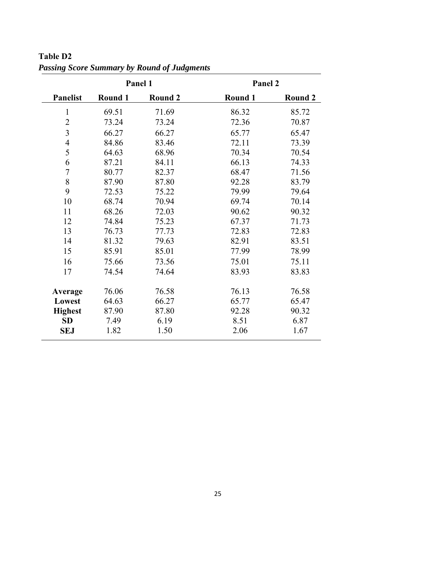|                 | Panel 1                   |       | Panel 2 |                |
|-----------------|---------------------------|-------|---------|----------------|
| <b>Panelist</b> | Round 1<br><b>Round 2</b> |       | Round 1 | <b>Round 2</b> |
| $\mathbf{1}$    | 69.51                     | 71.69 | 86.32   | 85.72          |
| $\overline{2}$  | 73.24                     | 73.24 | 72.36   | 70.87          |
| 3               | 66.27                     | 66.27 | 65.77   | 65.47          |
| $\overline{4}$  | 84.86                     | 83.46 | 72.11   | 73.39          |
| 5               | 64.63                     | 68.96 | 70.34   | 70.54          |
| 6               | 87.21                     | 84.11 | 66.13   | 74.33          |
| $\sqrt{ }$      | 80.77                     | 82.37 | 68.47   | 71.56          |
| 8               | 87.90                     | 87.80 | 92.28   | 83.79          |
| 9               | 72.53                     | 75.22 | 79.99   | 79.64          |
| 10              | 68.74                     | 70.94 | 69.74   | 70.14          |
| 11              | 68.26                     | 72.03 | 90.62   | 90.32          |
| 12              | 74.84                     | 75.23 | 67.37   | 71.73          |
| 13              | 76.73                     | 77.73 | 72.83   | 72.83          |
| 14              | 81.32                     | 79.63 | 82.91   | 83.51          |
| 15              | 85.91                     | 85.01 | 77.99   | 78.99          |
| 16              | 75.66                     | 73.56 | 75.01   | 75.11          |
| 17              | 74.54<br>74.64            |       | 83.93   | 83.83          |
| Average         | 76.06                     | 76.58 | 76.13   | 76.58          |
| Lowest          | 64.63                     | 66.27 | 65.77   | 65.47          |
| <b>Highest</b>  | 87.90                     | 87.80 | 92.28   | 90.32          |
| <b>SD</b>       | 7.49                      | 6.19  | 8.51    | 6.87           |
| <b>SEJ</b>      | 1.82                      | 1.50  | 2.06    | 1.67           |

**Table D2**  *Passing Score Summary by Round of Judgments*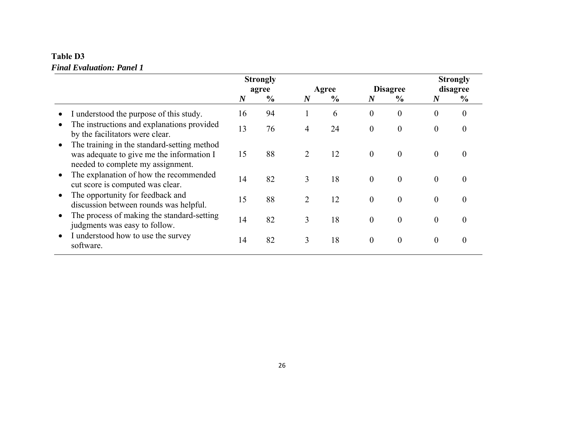### **Table D3**  *Final Evaluation: Panel 1*

|                                                                                                                               |                  | <b>Strongly</b> |                  |               |                  |                  |                  | <b>Strongly</b>  |
|-------------------------------------------------------------------------------------------------------------------------------|------------------|-----------------|------------------|---------------|------------------|------------------|------------------|------------------|
|                                                                                                                               | agree            |                 | Agree            |               | <b>Disagree</b>  |                  | disagree         |                  |
|                                                                                                                               | $\boldsymbol{N}$ | $\frac{6}{9}$   | $\boldsymbol{N}$ | $\frac{6}{9}$ | $\boldsymbol{N}$ | $\frac{6}{9}$    | $\boldsymbol{N}$ | $\frac{6}{6}$    |
| I understood the purpose of this study.                                                                                       | 16               | 94              |                  | 6             | $\theta$         | $\overline{0}$   | $\mathbf{0}$     | $\boldsymbol{0}$ |
| The instructions and explanations provided<br>by the facilitators were clear.                                                 | 13               | 76              | 4                | 24            | $\overline{0}$   | $\boldsymbol{0}$ | $\mathbf{0}$     | $\overline{0}$   |
| The training in the standard-setting method<br>was adequate to give me the information I<br>needed to complete my assignment. | 15               | 88              | 2                | 12            | $\mathbf{0}$     | $\mathbf{0}$     | $\overline{0}$   | 0                |
| The explanation of how the recommended<br>cut score is computed was clear.                                                    | 14               | 82              | 3                | 18            | $\mathbf{0}$     | $\mathbf{0}$     | $\mathbf{0}$     | 0                |
| The opportunity for feedback and<br>discussion between rounds was helpful.                                                    | 15               | 88              | $\overline{2}$   | 12            | $\theta$         | $\overline{0}$   | $\theta$         | 0                |
| The process of making the standard-setting<br>judgments was easy to follow.                                                   | 14               | 82              | 3                | 18            | $\theta$         | $\overline{0}$   | $\mathbf{0}$     | 0                |
| I understood how to use the survey<br>software.                                                                               | 14               | 82              | 3                | 18            | $\boldsymbol{0}$ | $\overline{0}$   | $\boldsymbol{0}$ | $\theta$         |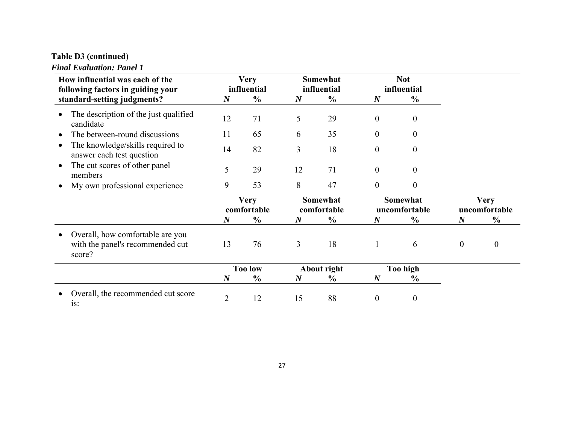# **Table D3 (continued)**

#### *Final Evaluation: Panel 1*

| How influential was each of the<br>following factors in guiding your                                                   | <b>Very</b><br>influential |                      | Somewhat<br>influential |                      | <b>Not</b><br>influential                    |                                       |                              |                  |
|------------------------------------------------------------------------------------------------------------------------|----------------------------|----------------------|-------------------------|----------------------|----------------------------------------------|---------------------------------------|------------------------------|------------------|
| standard-setting judgments?                                                                                            | $\boldsymbol{N}$           | $\frac{6}{6}$        | $\boldsymbol{N}$        | $\frac{6}{6}$        | $\boldsymbol{N}$                             | $\frac{6}{6}$                         |                              |                  |
| The description of the just qualified<br>candidate                                                                     | 12                         | 71                   | 5                       | 29                   | $\overline{0}$                               | $\theta$                              |                              |                  |
| The between-round discussions                                                                                          | 11<br>14<br>5<br>9         | 65<br>82<br>29<br>53 | 6<br>3                  | 35<br>18<br>71<br>47 | $\theta$<br>$\overline{0}$<br>$\overline{0}$ | 0<br>$\theta$<br>$\theta$<br>$\Omega$ |                              |                  |
| The knowledge/skills required to<br>$\bullet$<br>answer each test question<br>The cut scores of other panel<br>members |                            |                      |                         |                      |                                              |                                       |                              |                  |
|                                                                                                                        |                            |                      | 12                      |                      |                                              |                                       |                              |                  |
| My own professional experience                                                                                         |                            |                      | 8                       |                      | $\overline{0}$                               |                                       |                              |                  |
|                                                                                                                        | <b>Very</b><br>comfortable |                      | Somewhat<br>comfortable |                      | Somewhat<br>uncomfortable                    |                                       | <b>Very</b><br>uncomfortable |                  |
|                                                                                                                        | $\boldsymbol{N}$           | $\frac{0}{0}$        | $\boldsymbol{N}$        | $\frac{0}{0}$        | $\boldsymbol{N}$                             | $\frac{0}{0}$                         | $\boldsymbol{N}$             | $\frac{0}{0}$    |
| Overall, how comfortable are you<br>with the panel's recommended cut<br>score?                                         | 13                         | 76                   | 3                       | 18                   | $\mathbf{1}$                                 | 6                                     | $\mathbf{0}$                 | $\boldsymbol{0}$ |
|                                                                                                                        | <b>Too low</b>             |                      | About right             |                      | <b>Too high</b>                              |                                       |                              |                  |
|                                                                                                                        | $\boldsymbol{N}$           | $\frac{6}{6}$        | $\boldsymbol{N}$        | $\frac{6}{6}$        | $\boldsymbol{N}$                             | $\frac{6}{6}$                         |                              |                  |
| Overall, the recommended cut score<br>is:                                                                              | $\overline{2}$             | 12                   | 15                      | 88                   | $\overline{0}$                               | $\boldsymbol{0}$                      |                              |                  |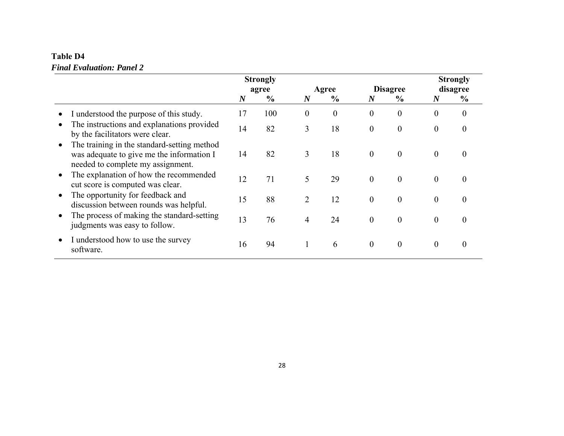### **Table D4**  *Final Evaluation: Panel 2*

|                                                                                                                               |                  | <b>Strongly</b> |                  |               |                  |                  |                  | <b>Strongly</b>  |
|-------------------------------------------------------------------------------------------------------------------------------|------------------|-----------------|------------------|---------------|------------------|------------------|------------------|------------------|
|                                                                                                                               | agree            |                 | Agree            |               | <b>Disagree</b>  |                  | disagree         |                  |
|                                                                                                                               | $\boldsymbol{N}$ | $\frac{6}{6}$   | $\boldsymbol{N}$ | $\frac{6}{9}$ | $\boldsymbol{N}$ | $\frac{6}{9}$    | $\boldsymbol{N}$ | $\frac{6}{6}$    |
| I understood the purpose of this study.                                                                                       | 17               | 100             | 0                | $\theta$      | $\mathbf{0}$     | $\overline{0}$   | $\mathbf{0}$     | $\boldsymbol{0}$ |
| The instructions and explanations provided<br>by the facilitators were clear.                                                 | 14               | 82              | 3                | 18            | $\mathbf{0}$     | $\overline{0}$   | $\overline{0}$   | 0                |
| The training in the standard-setting method<br>was adequate to give me the information I<br>needed to complete my assignment. | 14               | 82              | 3                | 18            | $\overline{0}$   | $\overline{0}$   | $\mathbf{0}$     | 0                |
| The explanation of how the recommended<br>cut score is computed was clear.                                                    | 12               | 71              | 5                | 29            | $\mathbf{0}$     | $\overline{0}$   | $\mathbf{0}$     | $\theta$         |
| The opportunity for feedback and<br>discussion between rounds was helpful.                                                    | 15               | 88              | 2                | 12            | $\overline{0}$   | $\boldsymbol{0}$ | $\mathbf{0}$     | 0                |
| The process of making the standard-setting<br>judgments was easy to follow.                                                   | 13               | 76              | 4                | 24            | $\boldsymbol{0}$ | $\boldsymbol{0}$ | $\mathbf{0}$     | 0                |
| I understood how to use the survey<br>software.                                                                               | 16               | 94              | $\mathbf{1}$     | 6             | $\overline{0}$   | $\overline{0}$   | $\boldsymbol{0}$ | 0                |